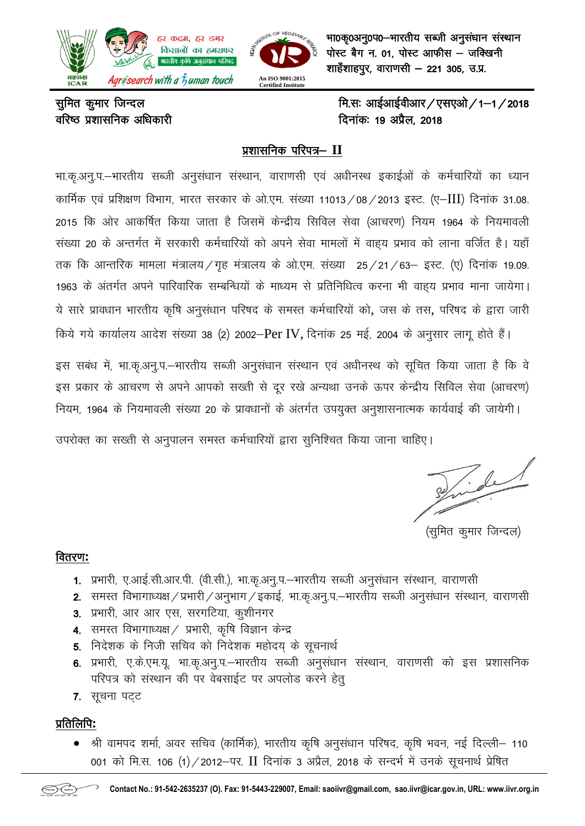

भा0कृ0अनु0प0-भारतीय सब्जी अनुसंधान संस्थान  $\vec{v}$ गोस्ट बैग न. 01, पोस्ट आफीस - जक्खिनी शाहँशाहपुर, वाराणसी – 221 305, उ.प्र.

# ofj'B iz"kklfud vf/kdkjh fnukad% 19 viSzy] 2018

सूमित कूमार जिन्दल  $\frac{d}{2018}$ 

## प्रशासनिक परिपत्र- II

भा.कृ.अनु.प.–भारतीय सब्जी अनुसंधान संस्थान, वाराणसी एवं अधीनस्थ इकाईओं के कर्मचारियों का ध्यान कार्मिक एवं प्रशिक्षण विभाग, भारत सरकार के ओ.एम. संख्या 11013/08/2013 इस्ट. (ए–III) दिनांक 31.08. 2015 कि ओर आकर्षित किया जाता है जिसमें केन्द्रीय सिविल सेवा (आचरण) नियम 1964 के नियमावली संख्या 20 के अन्तर्गत में सरकारी कर्मचारियों को अपने सेवा मामलों में वाहय प्रभाव को लाना वर्जित है। यहाँ तक कि आन्तरिक मामला मंत्रालय/गृह मंत्रालय के ओ.एम. संख्या 25/21/63– इस्ट. (ए) दिनांक 19.09. 1963 के अंतर्गत अपने पारिवारिक सम्बन्धियों के माध्यम से प्रतिनिधित्व करना भी वाहय प्रभाव माना जायेगा। ये सारे प्रावधान भारतीय कृषि अनुसंधान परिषद के समस्त कर्मचारियों को, जस के तस, परिषद के द्वारा जारी किये गये कार्यालय आदेश संख्या 38 (2) 2002-Per IV, दिनांक 25 मई, 2004 के अनुसार लागू होते हैं।

इस सबंध में, भा.कृ.अनु.प.–भारतीय सब्जी अनुसंधान संस्थान एवं अधीनस्थ को सूचित किया जाता है कि वे इस प्रकार के आचरण से अपने आपको सख्ती से दूर रखे अन्यथा उनके ऊपर केन्द्रीय सिविल सेवा (आचरण) नियम, 1964 के नियमावली संख्या 20 के प्रावधानों के अंतर्गत उपयुक्त अनुशासनात्मक कार्यवाई की जायेगी।

उपरोक्त का सख्ती से अनुपालन समस्त कर्मचारियों द्वारा सुनिश्चित किया जाना चाहिए।

Pride

(सुमित कुमार जिन्दल)

### forj.k**:**

- 1. प्रभारी, ए.आई.सी.आर.पी. (वी.सी.), भा.कृ.अनु.प.–भारतीय सब्जी अनुसंधान संस्थान, वाराणसी
- 2. समस्त विभागाध्यक्ष / प्रभारी / अनुभाग / इकाई, भा.कृ.अनू.प.–भारतीय सब्जी अनुसंधान संस्थान, वाराणसी
- 3. प्रभारी, आर आर एस, सरगटिया, कुशीनगर
- 4. समस्त विभागाध्यक्ष / प्रभारी, कृषि विज्ञान केन्द्र
- 5. निदेशक के निजी सचिव को निदेशक महोदय के सूचनार्थ
- 6. प्रभारी, ए.के.एम.यू. भा.कृ.अनू.प.–भारतीय सब्जी अनुसंधान संस्थान, वाराणसी को इस प्रशासनिक परिपत्र को संस्थान की पर वेबसाईट पर अपलोड करने हेत्
- 7. सूचना पट्ट

## izfrfyfi**:**

• श्री वामपद शर्मा, अवर सचिव (कार्मिक), भारतीय कृषि अनुसंधान परिषद, कृषि भवन, नई दिल्ली– 110 001 को मि.स. 106 (1)/2012–पर. II दिनांक 3 अप्रैल, 2018 के सन्दर्भ में उनके सूचनार्थ प्रेषित